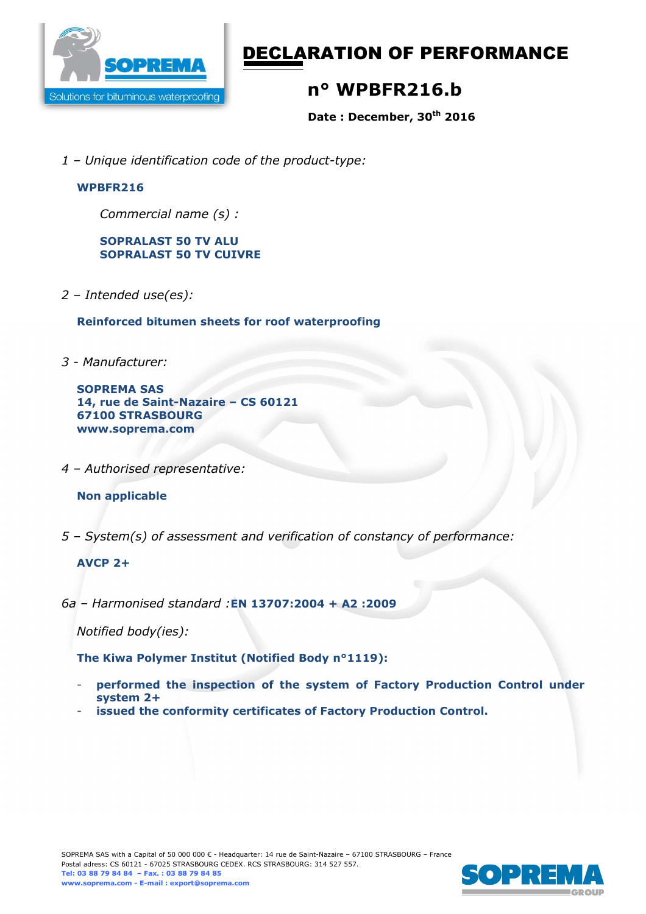

# DECLARATION OF PERFORMANCE

# **n° WPBFR216.b**

**Date : December, 30th 2016** 

*1 – Unique identification code of the product-type:*

#### **WPBFR216**

*Commercial name (s) :* 

#### **SOPRALAST 50 TV ALU SOPRALAST 50 TV CUIVRE**

*2 – Intended use(es):* 

**Reinforced bitumen sheets for roof waterproofing** 

*3 - Manufacturer:* 

**SOPREMA SAS 14, rue de Saint-Nazaire – CS 60121 67100 STRASBOURG www.soprema.com** 

*4 – Authorised representative:* 

#### **Non applicable**

*5 – System(s) of assessment and verification of constancy of performance:* 

#### **AVCP 2+**

*6a – Harmonised standard :***EN 13707:2004 + A2 :2009**

*Notified body(ies):* 

**The Kiwa Polymer Institut (Notified Body n°1119):** 

- **performed the inspection of the system of Factory Production Control under system 2+**
- issued the conformity certificates of Factory Production Control.